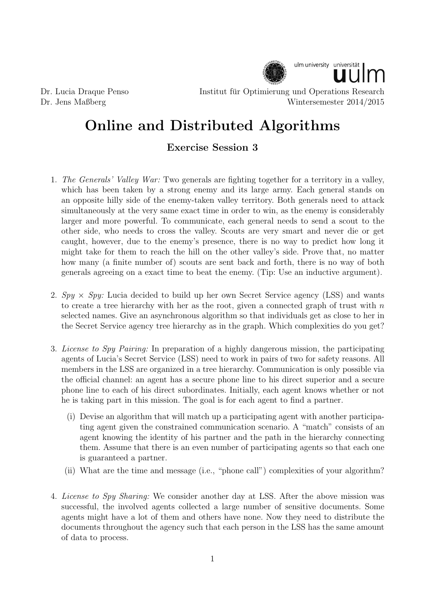

Dr. Lucia Draque Penso Institut für Optimierung und Operations Research Dr. Jens Maßberg Wintersemester 2014/2015

## Online and Distributed Algorithms

## Exercise Session 3

- 1. The Generals' Valley War: Two generals are fighting together for a territory in a valley, which has been taken by a strong enemy and its large army. Each general stands on an opposite hilly side of the enemy-taken valley territory. Both generals need to attack simultaneously at the very same exact time in order to win, as the enemy is considerably larger and more powerful. To communicate, each general needs to send a scout to the other side, who needs to cross the valley. Scouts are very smart and never die or get caught, however, due to the enemy's presence, there is no way to predict how long it might take for them to reach the hill on the other valley's side. Prove that, no matter how many (a finite number of) scouts are sent back and forth, there is no way of both generals agreeing on a exact time to beat the enemy. (Tip: Use an inductive argument).
- 2.  $Spy \times Spy$ : Lucia decided to build up her own Secret Service agency (LSS) and wants to create a tree hierarchy with her as the root, given a connected graph of trust with  $n$ selected names. Give an asynchronous algorithm so that individuals get as close to her in the Secret Service agency tree hierarchy as in the graph. Which complexities do you get?
- 3. License to Spy Pairing: In preparation of a highly dangerous mission, the participating agents of Lucia's Secret Service (LSS) need to work in pairs of two for safety reasons. All members in the LSS are organized in a tree hierarchy. Communication is only possible via the official channel: an agent has a secure phone line to his direct superior and a secure phone line to each of his direct subordinates. Initially, each agent knows whether or not he is taking part in this mission. The goal is for each agent to find a partner.
	- (i) Devise an algorithm that will match up a participating agent with another participating agent given the constrained communication scenario. A "match" consists of an agent knowing the identity of his partner and the path in the hierarchy connecting them. Assume that there is an even number of participating agents so that each one is guaranteed a partner.
	- (ii) What are the time and message (i.e., "phone call") complexities of your algorithm?
- 4. License to Spy Sharing: We consider another day at LSS. After the above mission was successful, the involved agents collected a large number of sensitive documents. Some agents might have a lot of them and others have none. Now they need to distribute the documents throughout the agency such that each person in the LSS has the same amount of data to process.